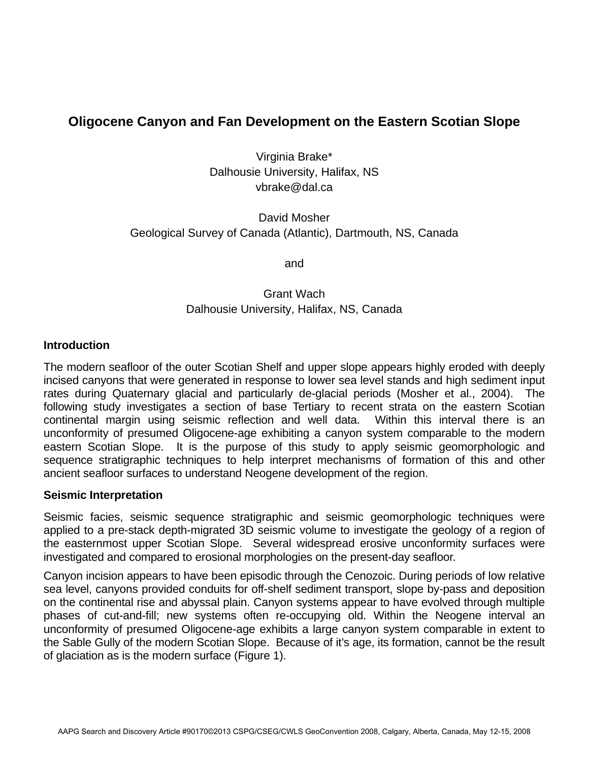# **Oligocene Canyon and Fan Development on the Eastern Scotian Slope**

Virginia Brake\* Dalhousie University, Halifax, NS vbrake@dal.ca

## David Mosher Geological Survey of Canada (Atlantic), Dartmouth, NS, Canada

and

## Grant Wach Dalhousie University, Halifax, NS, Canada

### **Introduction**

The modern seafloor of the outer Scotian Shelf and upper slope appears highly eroded with deeply incised canyons that were generated in response to lower sea level stands and high sediment input rates during Quaternary glacial and particularly de-glacial periods (Mosher et al., 2004). The following study investigates a section of base Tertiary to recent strata on the eastern Scotian continental margin using seismic reflection and well data. Within this interval there is an unconformity of presumed Oligocene-age exhibiting a canyon system comparable to the modern eastern Scotian Slope. It is the purpose of this study to apply seismic geomorphologic and sequence stratigraphic techniques to help interpret mechanisms of formation of this and other ancient seafloor surfaces to understand Neogene development of the region.

#### **Seismic Interpretation**

Seismic facies, seismic sequence stratigraphic and seismic geomorphologic techniques were applied to a pre-stack depth-migrated 3D seismic volume to investigate the geology of a region of the easternmost upper Scotian Slope. Several widespread erosive unconformity surfaces were investigated and compared to erosional morphologies on the present-day seafloor.

Canyon incision appears to have been episodic through the Cenozoic. During periods of low relative sea level, canyons provided conduits for off-shelf sediment transport, slope by-pass and deposition on the continental rise and abyssal plain. Canyon systems appear to have evolved through multiple phases of cut-and-fill; new systems often re-occupying old. Within the Neogene interval an unconformity of presumed Oligocene-age exhibits a large canyon system comparable in extent to the Sable Gully of the modern Scotian Slope. Because of it's age, its formation, cannot be the result of glaciation as is the modern surface (Figure 1).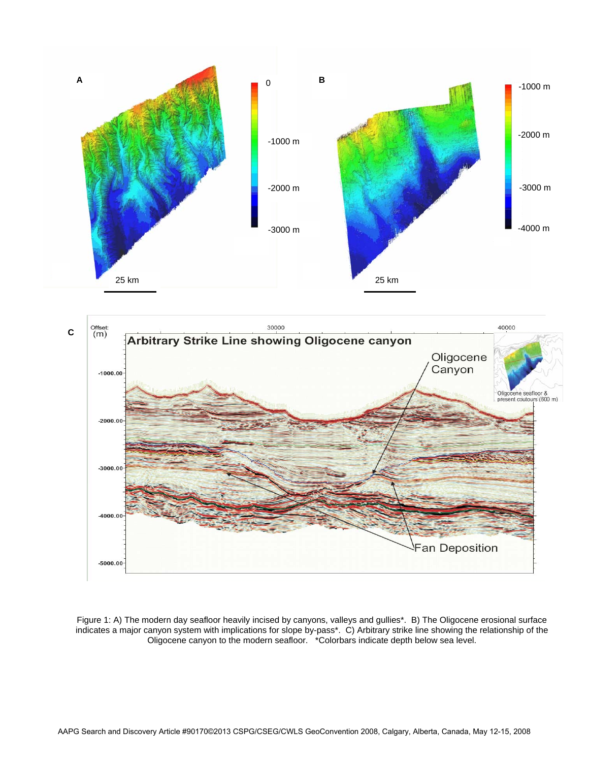



Figure 1: A) The modern day seafloor heavily incised by canyons, valleys and gullies\*. B) The Oligocene erosional surface indicates a major canyon system with implications for slope by-pass\*. C) Arbitrary strike line showing the relationship of the Oligocene canyon to the modern seafloor. \*Colorbars indicate depth below sea level.